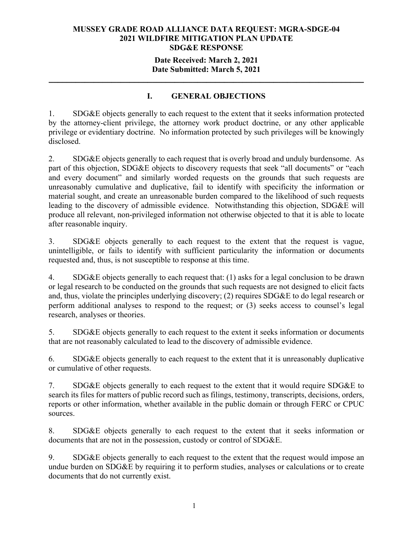## **Date Received: March 2, 2021 Date Submitted: March 5, 2021**

# **I. GENERAL OBJECTIONS**

**\_\_\_\_\_\_\_\_\_\_\_\_\_\_\_\_\_\_\_\_\_\_\_\_\_\_\_\_\_\_\_\_\_\_\_\_\_\_\_\_\_\_\_\_\_\_\_\_\_\_\_\_\_\_\_\_\_\_\_\_\_\_\_\_\_\_\_\_\_\_** 

1. SDG&E objects generally to each request to the extent that it seeks information protected by the attorney-client privilege, the attorney work product doctrine, or any other applicable privilege or evidentiary doctrine. No information protected by such privileges will be knowingly disclosed.

2. SDG&E objects generally to each request that is overly broad and unduly burdensome. As part of this objection, SDG&E objects to discovery requests that seek "all documents" or "each and every document" and similarly worded requests on the grounds that such requests are unreasonably cumulative and duplicative, fail to identify with specificity the information or material sought, and create an unreasonable burden compared to the likelihood of such requests leading to the discovery of admissible evidence. Notwithstanding this objection, SDG&E will produce all relevant, non-privileged information not otherwise objected to that it is able to locate after reasonable inquiry.

3. SDG&E objects generally to each request to the extent that the request is vague, unintelligible, or fails to identify with sufficient particularity the information or documents requested and, thus, is not susceptible to response at this time.

4. SDG&E objects generally to each request that: (1) asks for a legal conclusion to be drawn or legal research to be conducted on the grounds that such requests are not designed to elicit facts and, thus, violate the principles underlying discovery; (2) requires SDG&E to do legal research or perform additional analyses to respond to the request; or (3) seeks access to counsel's legal research, analyses or theories.

5. SDG&E objects generally to each request to the extent it seeks information or documents that are not reasonably calculated to lead to the discovery of admissible evidence.

6. SDG&E objects generally to each request to the extent that it is unreasonably duplicative or cumulative of other requests.

7. SDG&E objects generally to each request to the extent that it would require SDG&E to search its files for matters of public record such as filings, testimony, transcripts, decisions, orders, reports or other information, whether available in the public domain or through FERC or CPUC sources.

8. SDG&E objects generally to each request to the extent that it seeks information or documents that are not in the possession, custody or control of SDG&E.

9. SDG&E objects generally to each request to the extent that the request would impose an undue burden on SDG&E by requiring it to perform studies, analyses or calculations or to create documents that do not currently exist.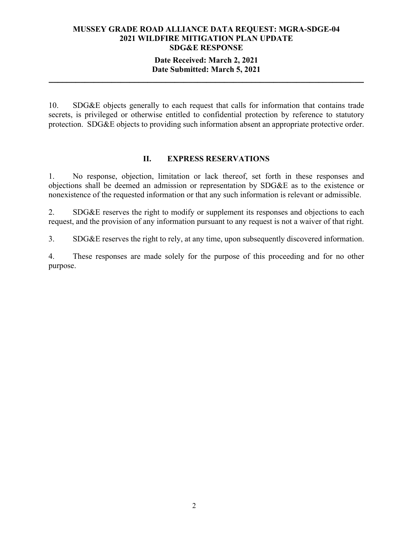# **Date Received: March 2, 2021 Date Submitted: March 5, 2021**

**\_\_\_\_\_\_\_\_\_\_\_\_\_\_\_\_\_\_\_\_\_\_\_\_\_\_\_\_\_\_\_\_\_\_\_\_\_\_\_\_\_\_\_\_\_\_\_\_\_\_\_\_\_\_\_\_\_\_\_\_\_\_\_\_\_\_\_\_\_\_** 

10. SDG&E objects generally to each request that calls for information that contains trade secrets, is privileged or otherwise entitled to confidential protection by reference to statutory protection. SDG&E objects to providing such information absent an appropriate protective order.

#### **II. EXPRESS RESERVATIONS**

1. No response, objection, limitation or lack thereof, set forth in these responses and objections shall be deemed an admission or representation by SDG&E as to the existence or nonexistence of the requested information or that any such information is relevant or admissible.

2. SDG&E reserves the right to modify or supplement its responses and objections to each request, and the provision of any information pursuant to any request is not a waiver of that right.

3. SDG&E reserves the right to rely, at any time, upon subsequently discovered information.

4. These responses are made solely for the purpose of this proceeding and for no other purpose.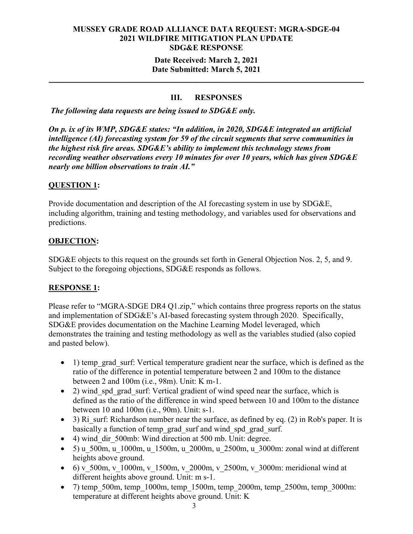# **Date Received: March 2, 2021 Date Submitted: March 5, 2021**

# **III. RESPONSES**

**\_\_\_\_\_\_\_\_\_\_\_\_\_\_\_\_\_\_\_\_\_\_\_\_\_\_\_\_\_\_\_\_\_\_\_\_\_\_\_\_\_\_\_\_\_\_\_\_\_\_\_\_\_\_\_\_\_\_\_\_\_\_\_\_\_\_\_\_\_\_** 

*The following data requests are being issued to SDG&E only.* 

*On p. ix of its WMP, SDG&E states: "In addition, in 2020, SDG&E integrated an artificial intelligence (AI) forecasting system for 59 of the circuit segments that serve communities in the highest risk fire areas. SDG&E's ability to implement this technology stems from recording weather observations every 10 minutes for over 10 years, which has given SDG&E nearly one billion observations to train AI."*

# **QUESTION 1:**

Provide documentation and description of the AI forecasting system in use by SDG&E, including algorithm, training and testing methodology, and variables used for observations and predictions.

# **OBJECTION:**

SDG&E objects to this request on the grounds set forth in General Objection Nos. 2, 5, and 9. Subject to the foregoing objections, SDG&E responds as follows.

# **RESPONSE 1:**

Please refer to "MGRA-SDGE DR4 Q1.zip," which contains three progress reports on the status and implementation of SDG&E's AI-based forecasting system through 2020. Specifically, SDG&E provides documentation on the Machine Learning Model leveraged, which demonstrates the training and testing methodology as well as the variables studied (also copied and pasted below).

- 1) temp\_grad\_surf: Vertical temperature gradient near the surface, which is defined as the ratio of the difference in potential temperature between 2 and 100m to the distance between 2 and 100m (i.e., 98m). Unit: K m-1.
- 2) wind spd grad surf: Vertical gradient of wind speed near the surface, which is defined as the ratio of the difference in wind speed between 10 and 100m to the distance between 10 and 100m (i.e., 90m). Unit: s-1.
- $\bullet$  3) Ri surf: Richardson number near the surface, as defined by eq. (2) in Rob's paper. It is basically a function of temp\_grad\_surf and wind\_spd\_grad\_surf.
- 4) wind dir 500mb: Wind direction at 500 mb. Unit: degree.
- $\bullet$  5) u\_500m, u\_1000m, u\_1500m, u\_2000m, u\_2500m, u\_3000m: zonal wind at different heights above ground.
- 6) v\_500m, v\_1000m, v\_1500m, v\_2000m, v\_2500m, v\_3000m: meridional wind at different heights above ground. Unit: m s-1.
- 7) temp  $500m$ , temp  $1000m$ , temp  $1500m$ , temp  $2000m$ , temp  $2500m$ , temp  $3000m$ : temperature at different heights above ground. Unit: K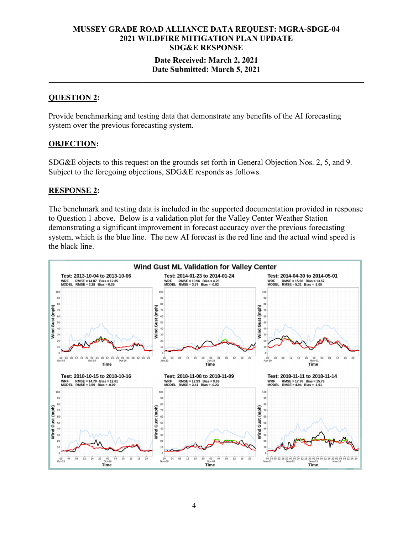#### **Date Received: March 2, 2021 Date Submitted: March 5, 2021**

**\_\_\_\_\_\_\_\_\_\_\_\_\_\_\_\_\_\_\_\_\_\_\_\_\_\_\_\_\_\_\_\_\_\_\_\_\_\_\_\_\_\_\_\_\_\_\_\_\_\_\_\_\_\_\_\_\_\_\_\_\_\_\_\_\_\_\_\_\_\_** 

#### **QUESTION 2:**

Provide benchmarking and testing data that demonstrate any benefits of the AI forecasting system over the previous forecasting system.

#### **OBJECTION:**

SDG&E objects to this request on the grounds set forth in General Objection Nos. 2, 5, and 9. Subject to the foregoing objections, SDG&E responds as follows.

#### **RESPONSE 2:**

The benchmark and testing data is included in the supported documentation provided in response to Question 1 above. Below is a validation plot for the Valley Center Weather Station demonstrating a significant improvement in forecast accuracy over the previous forecasting system, which is the blue line. The new AI forecast is the red line and the actual wind speed is the black line.

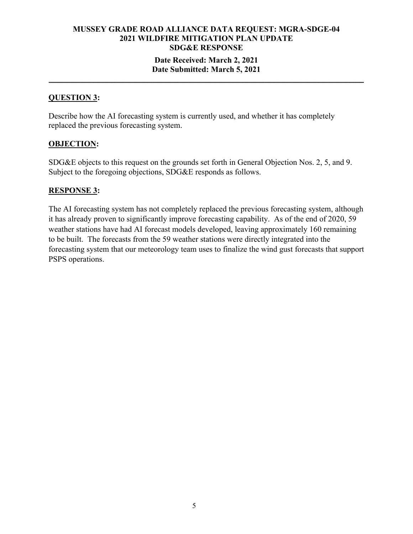#### **Date Received: March 2, 2021 Date Submitted: March 5, 2021 \_\_\_\_\_\_\_\_\_\_\_\_\_\_\_\_\_\_\_\_\_\_\_\_\_\_\_\_\_\_\_\_\_\_\_\_\_\_\_\_\_\_\_\_\_\_\_\_\_\_\_\_\_\_\_\_\_\_\_\_\_\_\_\_\_\_\_\_\_\_**

### **QUESTION 3:**

Describe how the AI forecasting system is currently used, and whether it has completely replaced the previous forecasting system.

#### **OBJECTION:**

SDG&E objects to this request on the grounds set forth in General Objection Nos. 2, 5, and 9. Subject to the foregoing objections, SDG&E responds as follows.

#### **RESPONSE 3:**

The AI forecasting system has not completely replaced the previous forecasting system, although it has already proven to significantly improve forecasting capability. As of the end of 2020, 59 weather stations have had AI forecast models developed, leaving approximately 160 remaining to be built. The forecasts from the 59 weather stations were directly integrated into the forecasting system that our meteorology team uses to finalize the wind gust forecasts that support PSPS operations.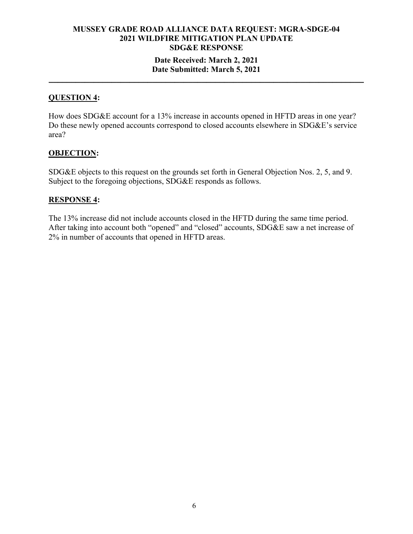# **Date Received: March 2, 2021 Date Submitted: March 5, 2021**

**\_\_\_\_\_\_\_\_\_\_\_\_\_\_\_\_\_\_\_\_\_\_\_\_\_\_\_\_\_\_\_\_\_\_\_\_\_\_\_\_\_\_\_\_\_\_\_\_\_\_\_\_\_\_\_\_\_\_\_\_\_\_\_\_\_\_\_\_\_\_** 

### **QUESTION 4:**

How does SDG&E account for a 13% increase in accounts opened in HFTD areas in one year? Do these newly opened accounts correspond to closed accounts elsewhere in SDG&E's service area?

# **OBJECTION:**

SDG&E objects to this request on the grounds set forth in General Objection Nos. 2, 5, and 9. Subject to the foregoing objections, SDG&E responds as follows.

#### **RESPONSE 4:**

The 13% increase did not include accounts closed in the HFTD during the same time period. After taking into account both "opened" and "closed" accounts, SDG&E saw a net increase of 2% in number of accounts that opened in HFTD areas.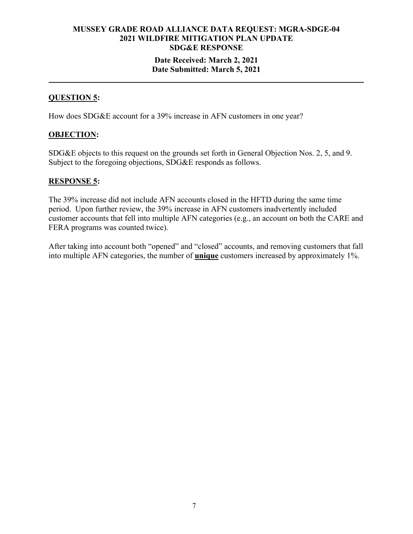# **MUSSEY GRADE ROAD ALLIANCE DATA REQUEST: MGRA-SDGE-04 2021 WILDFIRE MITIGATION PLAN UPDATE SDG&E RESPONSE Date Received: March 2, 2021 Date Submitted: March 5, 2021**

**\_\_\_\_\_\_\_\_\_\_\_\_\_\_\_\_\_\_\_\_\_\_\_\_\_\_\_\_\_\_\_\_\_\_\_\_\_\_\_\_\_\_\_\_\_\_\_\_\_\_\_\_\_\_\_\_\_\_\_\_\_\_\_\_\_\_\_\_\_\_** 

#### **QUESTION 5:**

How does SDG&E account for a 39% increase in AFN customers in one year?

#### **OBJECTION:**

SDG&E objects to this request on the grounds set forth in General Objection Nos. 2, 5, and 9. Subject to the foregoing objections, SDG&E responds as follows.

#### **RESPONSE 5:**

The 39% increase did not include AFN accounts closed in the HFTD during the same time period. Upon further review, the 39% increase in AFN customers inadvertently included customer accounts that fell into multiple AFN categories (e.g., an account on both the CARE and FERA programs was counted twice).

After taking into account both "opened" and "closed" accounts, and removing customers that fall into multiple AFN categories, the number of **unique** customers increased by approximately 1%.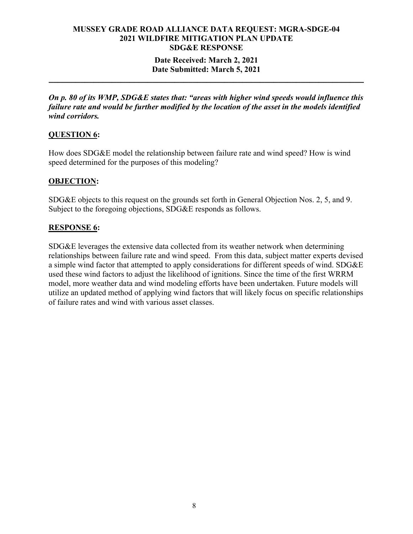### **Date Received: March 2, 2021 Date Submitted: March 5, 2021**

**\_\_\_\_\_\_\_\_\_\_\_\_\_\_\_\_\_\_\_\_\_\_\_\_\_\_\_\_\_\_\_\_\_\_\_\_\_\_\_\_\_\_\_\_\_\_\_\_\_\_\_\_\_\_\_\_\_\_\_\_\_\_\_\_\_\_\_\_\_\_** 

*On p. 80 of its WMP, SDG&E states that: "areas with higher wind speeds would influence this failure rate and would be further modified by the location of the asset in the models identified wind corridors.*

# **QUESTION 6:**

How does SDG&E model the relationship between failure rate and wind speed? How is wind speed determined for the purposes of this modeling?

# **OBJECTION:**

SDG&E objects to this request on the grounds set forth in General Objection Nos. 2, 5, and 9. Subject to the foregoing objections, SDG&E responds as follows.

# **RESPONSE 6:**

SDG&E leverages the extensive data collected from its weather network when determining relationships between failure rate and wind speed. From this data, subject matter experts devised a simple wind factor that attempted to apply considerations for different speeds of wind. SDG&E used these wind factors to adjust the likelihood of ignitions. Since the time of the first WRRM model, more weather data and wind modeling efforts have been undertaken. Future models will utilize an updated method of applying wind factors that will likely focus on specific relationships of failure rates and wind with various asset classes.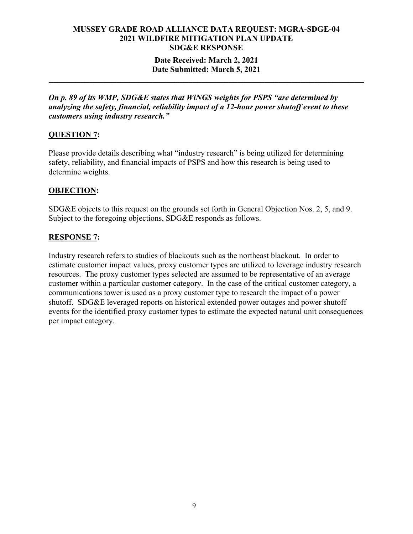# **Date Received: March 2, 2021 Date Submitted: March 5, 2021**

**\_\_\_\_\_\_\_\_\_\_\_\_\_\_\_\_\_\_\_\_\_\_\_\_\_\_\_\_\_\_\_\_\_\_\_\_\_\_\_\_\_\_\_\_\_\_\_\_\_\_\_\_\_\_\_\_\_\_\_\_\_\_\_\_\_\_\_\_\_\_** 

*On p. 89 of its WMP, SDG&E states that WiNGS weights for PSPS "are determined by analyzing the safety, financial, reliability impact of a 12‐hour power shutoff event to these customers using industry research."*

# **QUESTION 7:**

Please provide details describing what "industry research" is being utilized for determining safety, reliability, and financial impacts of PSPS and how this research is being used to determine weights.

# **OBJECTION:**

SDG&E objects to this request on the grounds set forth in General Objection Nos. 2, 5, and 9. Subject to the foregoing objections, SDG&E responds as follows.

# **RESPONSE 7:**

Industry research refers to studies of blackouts such as the northeast blackout. In order to estimate customer impact values, proxy customer types are utilized to leverage industry research resources. The proxy customer types selected are assumed to be representative of an average customer within a particular customer category. In the case of the critical customer category, a communications tower is used as a proxy customer type to research the impact of a power shutoff. SDG&E leveraged reports on historical extended power outages and power shutoff events for the identified proxy customer types to estimate the expected natural unit consequences per impact category.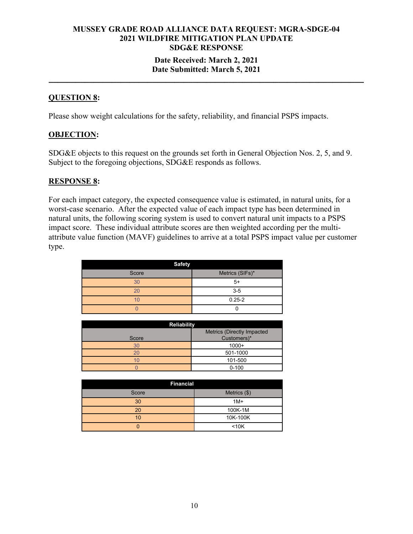# **MUSSEY GRADE ROAD ALLIANCE DATA REQUEST: MGRA-SDGE-04 2021 WILDFIRE MITIGATION PLAN UPDATE SDG&E RESPONSE Date Received: March 2, 2021 Date Submitted: March 5, 2021**

**\_\_\_\_\_\_\_\_\_\_\_\_\_\_\_\_\_\_\_\_\_\_\_\_\_\_\_\_\_\_\_\_\_\_\_\_\_\_\_\_\_\_\_\_\_\_\_\_\_\_\_\_\_\_\_\_\_\_\_\_\_\_\_\_\_\_\_\_\_\_** 

#### **QUESTION 8:**

Please show weight calculations for the safety, reliability, and financial PSPS impacts.

#### **OBJECTION:**

SDG&E objects to this request on the grounds set forth in General Objection Nos. 2, 5, and 9. Subject to the foregoing objections, SDG&E responds as follows.

#### **RESPONSE 8:**

For each impact category, the expected consequence value is estimated, in natural units, for a worst-case scenario. After the expected value of each impact type has been determined in natural units, the following scoring system is used to convert natural unit impacts to a PSPS impact score. These individual attribute scores are then weighted according per the multiattribute value function (MAVF) guidelines to arrive at a total PSPS impact value per customer type.

| <b>Safety</b> |                 |
|---------------|-----------------|
| Score         | Metrics (SIFs)* |
| 30            | $5+$            |
| 20            | $3-5$           |
| 10            | $0.25 - 2$      |
|               |                 |

| <b>Reliability</b> |                                           |  |
|--------------------|-------------------------------------------|--|
| Score              | Metrics (Directly Impacted<br>Customers)* |  |
| 30                 | $1000+$                                   |  |
| 20                 | 501-1000                                  |  |
| 10                 | 101-500                                   |  |
|                    | $0 - 100$                                 |  |

| <b>Financial</b> |              |
|------------------|--------------|
| Score            | Metrics (\$) |
| 30               | $1M+$        |
| 20               | 100K-1M      |
| 10               | 10K-100K     |
|                  | $10K$        |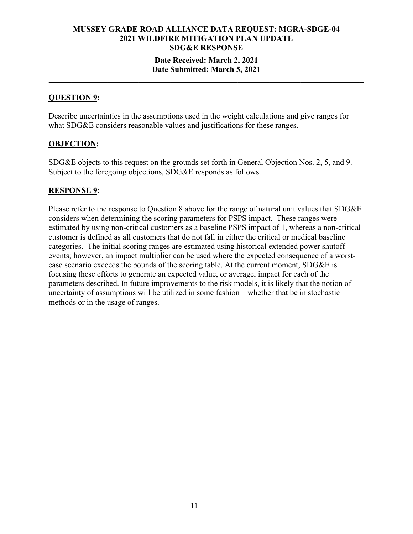# **MUSSEY GRADE ROAD ALLIANCE DATA REQUEST: MGRA-SDGE-04 2021 WILDFIRE MITIGATION PLAN UPDATE SDG&E RESPONSE Date Received: March 2, 2021**

# **Date Submitted: March 5, 2021 \_\_\_\_\_\_\_\_\_\_\_\_\_\_\_\_\_\_\_\_\_\_\_\_\_\_\_\_\_\_\_\_\_\_\_\_\_\_\_\_\_\_\_\_\_\_\_\_\_\_\_\_\_\_\_\_\_\_\_\_\_\_\_\_\_\_\_\_\_\_**

### **QUESTION 9:**

Describe uncertainties in the assumptions used in the weight calculations and give ranges for what SDG&E considers reasonable values and justifications for these ranges.

#### **OBJECTION:**

SDG&E objects to this request on the grounds set forth in General Objection Nos. 2, 5, and 9. Subject to the foregoing objections, SDG&E responds as follows.

#### **RESPONSE 9:**

Please refer to the response to Question 8 above for the range of natural unit values that SDG&E considers when determining the scoring parameters for PSPS impact. These ranges were estimated by using non-critical customers as a baseline PSPS impact of 1, whereas a non-critical customer is defined as all customers that do not fall in either the critical or medical baseline categories. The initial scoring ranges are estimated using historical extended power shutoff events; however, an impact multiplier can be used where the expected consequence of a worstcase scenario exceeds the bounds of the scoring table. At the current moment, SDG&E is focusing these efforts to generate an expected value, or average, impact for each of the parameters described. In future improvements to the risk models, it is likely that the notion of uncertainty of assumptions will be utilized in some fashion – whether that be in stochastic methods or in the usage of ranges.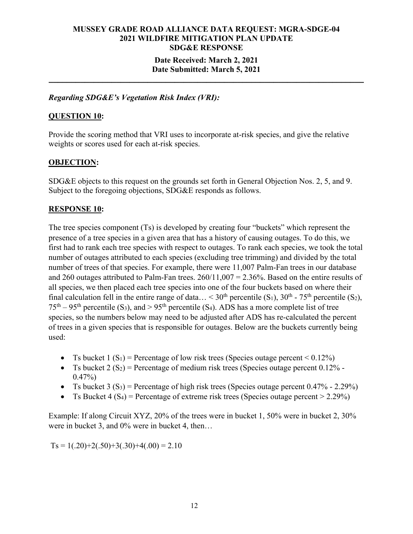# **MUSSEY GRADE ROAD ALLIANCE DATA REQUEST: MGRA-SDGE-04 2021 WILDFIRE MITIGATION PLAN UPDATE SDG&E RESPONSE Date Received: March 2, 2021**

#### **Date Submitted: March 5, 2021 \_\_\_\_\_\_\_\_\_\_\_\_\_\_\_\_\_\_\_\_\_\_\_\_\_\_\_\_\_\_\_\_\_\_\_\_\_\_\_\_\_\_\_\_\_\_\_\_\_\_\_\_\_\_\_\_\_\_\_\_\_\_\_\_\_\_\_\_\_\_**

*Regarding SDG&E's Vegetation Risk Index (VRI):*

#### **QUESTION 10:**

Provide the scoring method that VRI uses to incorporate at-risk species, and give the relative weights or scores used for each at-risk species.

#### **OBJECTION:**

SDG&E objects to this request on the grounds set forth in General Objection Nos. 2, 5, and 9. Subject to the foregoing objections, SDG&E responds as follows.

#### **RESPONSE 10:**

The tree species component (Ts) is developed by creating four "buckets" which represent the presence of a tree species in a given area that has a history of causing outages. To do this, we first had to rank each tree species with respect to outages. To rank each species, we took the total number of outages attributed to each species (excluding tree trimming) and divided by the total number of trees of that species. For example, there were 11,007 Palm-Fan trees in our database and 260 outages attributed to Palm-Fan trees. 260/11,007 = 2.36%. Based on the entire results of all species, we then placed each tree species into one of the four buckets based on where their final calculation fell in the entire range of data... < 30<sup>th</sup> percentile (S<sub>1</sub>), 30<sup>th</sup> - 75<sup>th</sup> percentile (S<sub>2</sub>),  $75<sup>th</sup> - 95<sup>th</sup>$  percentile (S<sub>3</sub>), and > 95<sup>th</sup> percentile (S<sub>4</sub>). ADS has a more complete list of tree species, so the numbers below may need to be adjusted after ADS has re-calculated the percent of trees in a given species that is responsible for outages. Below are the buckets currently being used:

- Ts bucket  $1 (S_1)$  = Percentage of low risk trees (Species outage percent < 0.12%)
- Ts bucket  $2(S_2)$  = Percentage of medium risk trees (Species outage percent 0.12% - $0.47\%)$
- Ts bucket 3  $(S_3)$  = Percentage of high risk trees (Species outage percent 0.47% 2.29%)
- Ts Bucket 4 (S<sub>4</sub>) = Percentage of extreme risk trees (Species outage percent  $> 2.29\%$ )

Example: If along Circuit XYZ, 20% of the trees were in bucket 1, 50% were in bucket 2, 30% were in bucket 3, and 0% were in bucket 4, then...

 $T_s = 1(.20)+2(.50)+3(.30)+4(.00) = 2.10$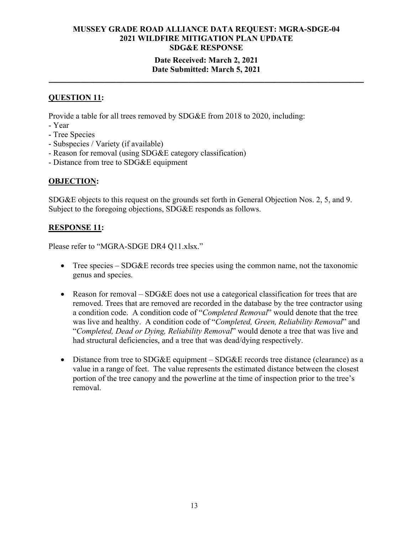# **Date Received: March 2, 2021 Date Submitted: March 5, 2021**

**\_\_\_\_\_\_\_\_\_\_\_\_\_\_\_\_\_\_\_\_\_\_\_\_\_\_\_\_\_\_\_\_\_\_\_\_\_\_\_\_\_\_\_\_\_\_\_\_\_\_\_\_\_\_\_\_\_\_\_\_\_\_\_\_\_\_\_\_\_\_** 

## **QUESTION 11:**

Provide a table for all trees removed by SDG&E from 2018 to 2020, including:

- Year
- Tree Species
- Subspecies / Variety (if available)
- Reason for removal (using SDG&E category classification)
- Distance from tree to SDG&E equipment

# **OBJECTION:**

SDG&E objects to this request on the grounds set forth in General Objection Nos. 2, 5, and 9. Subject to the foregoing objections, SDG&E responds as follows.

#### **RESPONSE 11:**

Please refer to "MGRA-SDGE DR4 Q11.xlsx."

- Tree species SDG&E records tree species using the common name, not the taxonomic genus and species.
- Reason for removal SDG&E does not use a categorical classification for trees that are removed. Trees that are removed are recorded in the database by the tree contractor using a condition code. A condition code of "*Completed Removal*" would denote that the tree was live and healthy. A condition code of "*Completed, Green, Reliability Removal*" and "*Completed, Dead or Dying, Reliability Removal*" would denote a tree that was live and had structural deficiencies, and a tree that was dead/dying respectively.
- Distance from tree to SDG&E equipment SDG&E records tree distance (clearance) as a value in a range of feet. The value represents the estimated distance between the closest portion of the tree canopy and the powerline at the time of inspection prior to the tree's removal.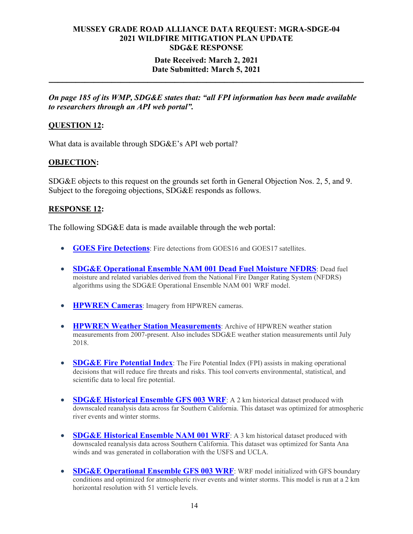#### **Date Received: March 2, 2021 Date Submitted: March 5, 2021**

**\_\_\_\_\_\_\_\_\_\_\_\_\_\_\_\_\_\_\_\_\_\_\_\_\_\_\_\_\_\_\_\_\_\_\_\_\_\_\_\_\_\_\_\_\_\_\_\_\_\_\_\_\_\_\_\_\_\_\_\_\_\_\_\_\_\_\_\_\_\_** 

*On page 185 of its WMP, SDG&E states that: "all FPI information has been made available to researchers through an API web portal".*

# **QUESTION 12:**

What data is available through SDG&E's API web portal?

#### **OBJECTION:**

SDG&E objects to this request on the grounds set forth in General Objection Nos. 2, 5, and 9. Subject to the foregoing objections, SDG&E responds as follows.

#### **RESPONSE 12:**

The following SDG&E data is made available through the web portal:

- **GOES Fire Detections:** Fire detections from GOES16 and GOES17 satellites.
- **SDG&E Operational Ensemble NAM 001 Dead Fuel Moisture NFDRS**: Dead fuel moisture and related variables derived from the National Fire Danger Rating System (NFDRS) algorithms using the SDG&E Operational Ensemble NAM 001 WRF model.
- **HPWREN Cameras**: Imagery from HPWREN cameras.
- **HPWREN Weather Station Measurements:** Archive of HPWREN weather station measurements from 2007-present. Also includes SDG&E weather station measurements until July 2018.
- **SDG&E Fire Potential Index**: The Fire Potential Index (FPI) assists in making operational decisions that will reduce fire threats and risks. This tool converts environmental, statistical, and scientific data to local fire potential.
- **SDG&E Historical Ensemble GFS 003 WRF**: A 2 km historical dataset produced with downscaled reanalysis data across far Southern California. This dataset was optimized for atmospheric river events and winter storms.
- **SDG&E Historical Ensemble NAM 001 WRF**: A 3 km historical dataset produced with downscaled reanalysis data across Southern California. This dataset was optimized for Santa Ana winds and was generated in collaboration with the USFS and UCLA.
- **SDG&E Operational Ensemble GFS 003 WRF**: WRF model initialized with GFS boundary conditions and optimized for atmospheric river events and winter storms. This model is run at a 2 km horizontal resolution with 51 verticle levels.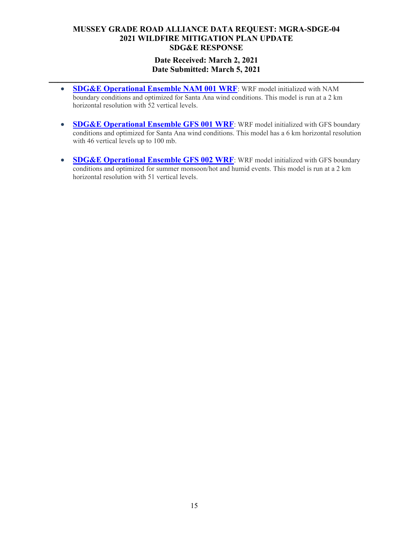# **Date Received: March 2, 2021 Date Submitted: March 5, 2021**

**\_\_\_\_\_\_\_\_\_\_\_\_\_\_\_\_\_\_\_\_\_\_\_\_\_\_\_\_\_\_\_\_\_\_\_\_\_\_\_\_\_\_\_\_\_\_\_\_\_\_\_\_\_\_\_\_\_\_\_\_\_\_\_\_\_\_\_\_\_\_** 

- **SDG&E Operational Ensemble NAM 001 WRF:** WRF model initialized with NAM boundary conditions and optimized for Santa Ana wind conditions. This model is run at a 2 km horizontal resolution with 52 vertical levels.
- **SDG&E Operational Ensemble GFS 001 WRF**: WRF model initialized with GFS boundary conditions and optimized for Santa Ana wind conditions. This model has a 6 km horizontal resolution with 46 vertical levels up to 100 mb.
- **SDG&E Operational Ensemble GFS 002 WRF**: WRF model initialized with GFS boundary conditions and optimized for summer monsoon/hot and humid events. This model is run at a 2 km horizontal resolution with 51 vertical levels.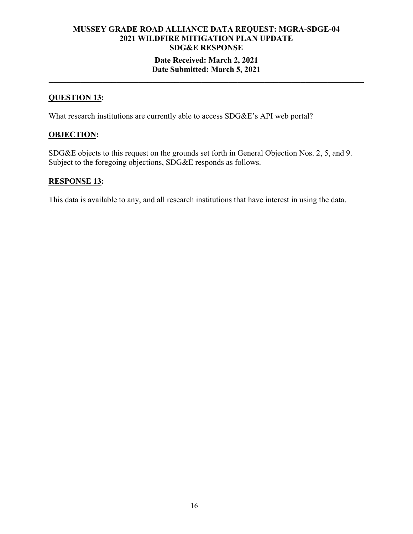# **MUSSEY GRADE ROAD ALLIANCE DATA REQUEST: MGRA-SDGE-04 2021 WILDFIRE MITIGATION PLAN UPDATE SDG&E RESPONSE Date Received: March 2, 2021 Date Submitted: March 5, 2021**

**\_\_\_\_\_\_\_\_\_\_\_\_\_\_\_\_\_\_\_\_\_\_\_\_\_\_\_\_\_\_\_\_\_\_\_\_\_\_\_\_\_\_\_\_\_\_\_\_\_\_\_\_\_\_\_\_\_\_\_\_\_\_\_\_\_\_\_\_\_\_** 

# **QUESTION 13:**

What research institutions are currently able to access SDG&E's API web portal?

# **OBJECTION:**

SDG&E objects to this request on the grounds set forth in General Objection Nos. 2, 5, and 9. Subject to the foregoing objections, SDG&E responds as follows.

#### **RESPONSE 13:**

This data is available to any, and all research institutions that have interest in using the data.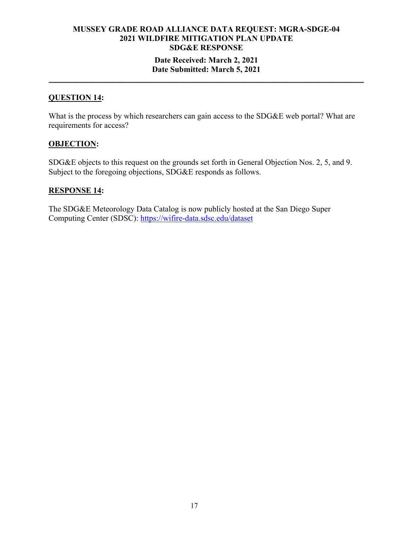## **Date Received: March 2, 2021 Date Submitted: March 5, 2021**

**\_\_\_\_\_\_\_\_\_\_\_\_\_\_\_\_\_\_\_\_\_\_\_\_\_\_\_\_\_\_\_\_\_\_\_\_\_\_\_\_\_\_\_\_\_\_\_\_\_\_\_\_\_\_\_\_\_\_\_\_\_\_\_\_\_\_\_\_\_\_** 

#### **QUESTION 14:**

What is the process by which researchers can gain access to the SDG&E web portal? What are requirements for access?

#### **OBJECTION:**

SDG&E objects to this request on the grounds set forth in General Objection Nos. 2, 5, and 9. Subject to the foregoing objections, SDG&E responds as follows.

#### **RESPONSE 14:**

The SDG&E Meteorology Data Catalog is now publicly hosted at the San Diego Super Computing Center (SDSC): https://wifire-data.sdsc.edu/dataset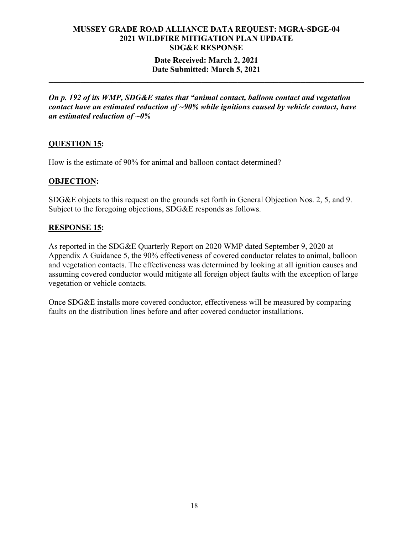## **Date Received: March 2, 2021 Date Submitted: March 5, 2021**

**\_\_\_\_\_\_\_\_\_\_\_\_\_\_\_\_\_\_\_\_\_\_\_\_\_\_\_\_\_\_\_\_\_\_\_\_\_\_\_\_\_\_\_\_\_\_\_\_\_\_\_\_\_\_\_\_\_\_\_\_\_\_\_\_\_\_\_\_\_\_** 

*On p. 192 of its WMP, SDG&E states that "animal contact, balloon contact and vegetation contact have an estimated reduction of ~90% while ignitions caused by vehicle contact, have an estimated reduction of ~0%*

# **QUESTION 15:**

How is the estimate of 90% for animal and balloon contact determined?

# **OBJECTION:**

SDG&E objects to this request on the grounds set forth in General Objection Nos. 2, 5, and 9. Subject to the foregoing objections, SDG&E responds as follows.

# **RESPONSE 15:**

As reported in the SDG&E Quarterly Report on 2020 WMP dated September 9, 2020 at Appendix A Guidance 5, the 90% effectiveness of covered conductor relates to animal, balloon and vegetation contacts. The effectiveness was determined by looking at all ignition causes and assuming covered conductor would mitigate all foreign object faults with the exception of large vegetation or vehicle contacts.

Once SDG&E installs more covered conductor, effectiveness will be measured by comparing faults on the distribution lines before and after covered conductor installations.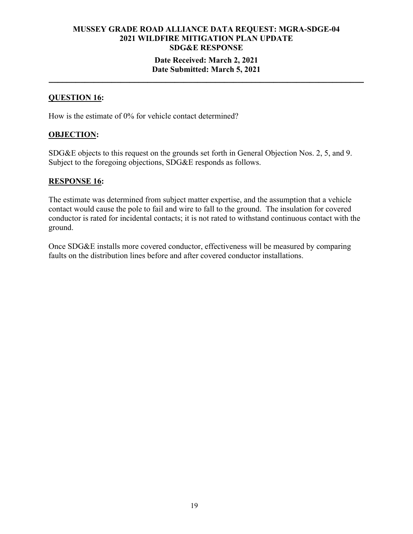# **MUSSEY GRADE ROAD ALLIANCE DATA REQUEST: MGRA-SDGE-04 2021 WILDFIRE MITIGATION PLAN UPDATE SDG&E RESPONSE Date Received: March 2, 2021 Date Submitted: March 5, 2021**

**\_\_\_\_\_\_\_\_\_\_\_\_\_\_\_\_\_\_\_\_\_\_\_\_\_\_\_\_\_\_\_\_\_\_\_\_\_\_\_\_\_\_\_\_\_\_\_\_\_\_\_\_\_\_\_\_\_\_\_\_\_\_\_\_\_\_\_\_\_\_** 

#### **QUESTION 16:**

How is the estimate of 0% for vehicle contact determined?

#### **OBJECTION:**

SDG&E objects to this request on the grounds set forth in General Objection Nos. 2, 5, and 9. Subject to the foregoing objections, SDG&E responds as follows.

#### **RESPONSE 16:**

The estimate was determined from subject matter expertise, and the assumption that a vehicle contact would cause the pole to fail and wire to fall to the ground. The insulation for covered conductor is rated for incidental contacts; it is not rated to withstand continuous contact with the ground.

Once SDG&E installs more covered conductor, effectiveness will be measured by comparing faults on the distribution lines before and after covered conductor installations.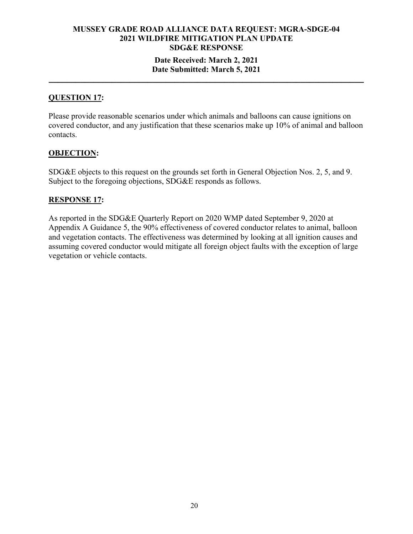# **Date Received: March 2, 2021 Date Submitted: March 5, 2021**

**\_\_\_\_\_\_\_\_\_\_\_\_\_\_\_\_\_\_\_\_\_\_\_\_\_\_\_\_\_\_\_\_\_\_\_\_\_\_\_\_\_\_\_\_\_\_\_\_\_\_\_\_\_\_\_\_\_\_\_\_\_\_\_\_\_\_\_\_\_\_** 

### **QUESTION 17:**

Please provide reasonable scenarios under which animals and balloons can cause ignitions on covered conductor, and any justification that these scenarios make up 10% of animal and balloon contacts.

# **OBJECTION:**

SDG&E objects to this request on the grounds set forth in General Objection Nos. 2, 5, and 9. Subject to the foregoing objections, SDG&E responds as follows.

#### **RESPONSE 17:**

As reported in the SDG&E Quarterly Report on 2020 WMP dated September 9, 2020 at Appendix A Guidance 5, the 90% effectiveness of covered conductor relates to animal, balloon and vegetation contacts. The effectiveness was determined by looking at all ignition causes and assuming covered conductor would mitigate all foreign object faults with the exception of large vegetation or vehicle contacts.